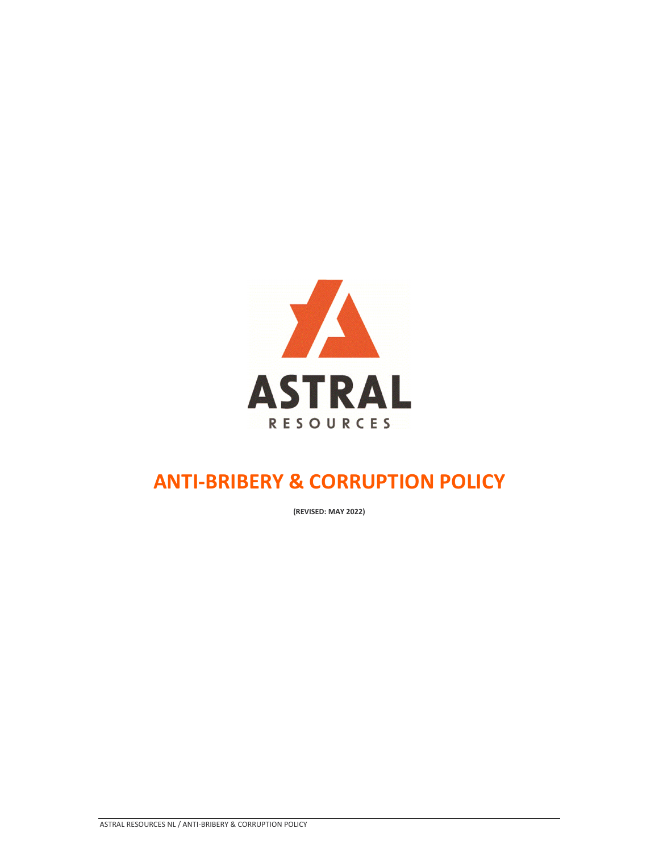

**(REVISED: MAY 2022)**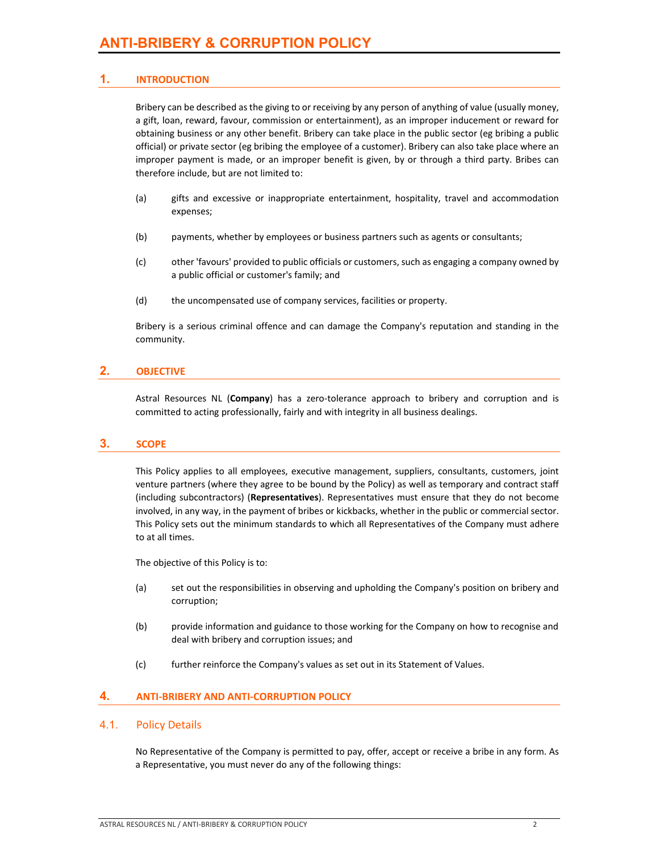#### **1. INTRODUCTION**

Bribery can be described asthe giving to or receiving by any person of anything of value (usually money, a gift, loan, reward, favour, commission or entertainment), as an improper inducement or reward for obtaining business or any other benefit. Bribery can take place in the public sector (eg bribing a public official) or private sector (eg bribing the employee of a customer). Bribery can also take place where an improper payment is made, or an improper benefit is given, by or through a third party. Bribes can therefore include, but are not limited to:

- (a) gifts and excessive or inappropriate entertainment, hospitality, travel and accommodation expenses;
- (b) payments, whether by employees or business partners such as agents or consultants;
- (c) other 'favours' provided to public officials or customers, such as engaging a company owned by a public official or customer's family; and
- (d) the uncompensated use of company services, facilities or property.

Bribery is a serious criminal offence and can damage the Company's reputation and standing in the community.

#### **2. OBJECTIVE**

Astral Resources NL (Company) has a zero-tolerance approach to bribery and corruption and is committed to acting professionally, fairly and with integrity in all business dealings.

#### **3. SCOPE**

This Policy applies to all employees, executive management, suppliers, consultants, customers, joint venture partners (where they agree to be bound by the Policy) as well as temporary and contract staff (including subcontractors) (**Representatives**). Representatives must ensure that they do not become involved, in any way, in the payment of bribes or kickbacks, whether in the public or commercial sector. This Policy sets out the minimum standards to which all Representatives of the Company must adhere to at all times.

The objective of this Policy is to:

- (a) set out the responsibilities in observing and upholding the Company's position on bribery and corruption;
- (b) provide information and guidance to those working for the Company on how to recognise and deal with bribery and corruption issues; and
- (c) further reinforce the Company's values as set out in its Statement of Values.

#### **4. ANTI‐BRIBERY AND ANTI‐CORRUPTION POLICY**

#### 4.1. Policy Details

No Representative of the Company is permitted to pay, offer, accept or receive a bribe in any form. As a Representative, you must never do any of the following things: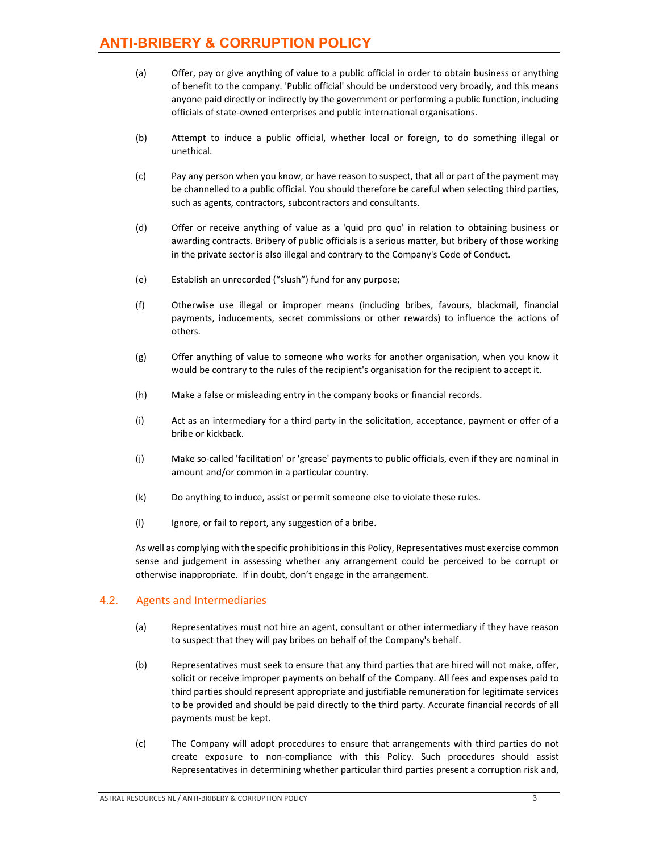- (a) Offer, pay or give anything of value to a public official in order to obtain business or anything of benefit to the company. 'Public official' should be understood very broadly, and this means anyone paid directly or indirectly by the government or performing a public function, including officials of state‐owned enterprises and public international organisations.
- (b) Attempt to induce a public official, whether local or foreign, to do something illegal or unethical.
- (c) Pay any person when you know, or have reason to suspect, that all or part of the payment may be channelled to a public official. You should therefore be careful when selecting third parties, such as agents, contractors, subcontractors and consultants.
- (d) Offer or receive anything of value as a 'quid pro quo' in relation to obtaining business or awarding contracts. Bribery of public officials is a serious matter, but bribery of those working in the private sector is also illegal and contrary to the Company's Code of Conduct.
- (e) Establish an unrecorded ("slush") fund for any purpose;
- (f) Otherwise use illegal or improper means (including bribes, favours, blackmail, financial payments, inducements, secret commissions or other rewards) to influence the actions of others.
- (g) Offer anything of value to someone who works for another organisation, when you know it would be contrary to the rules of the recipient's organisation for the recipient to accept it.
- (h) Make a false or misleading entry in the company books or financial records.
- (i) Act as an intermediary for a third party in the solicitation, acceptance, payment or offer of a bribe or kickback.
- (j) Make so‐called 'facilitation' or 'grease' payments to public officials, even if they are nominal in amount and/or common in a particular country.
- (k) Do anything to induce, assist or permit someone else to violate these rules.
- (l) Ignore, or fail to report, any suggestion of a bribe.

As well as complying with the specific prohibitions in this Policy, Representatives must exercise common sense and judgement in assessing whether any arrangement could be perceived to be corrupt or otherwise inappropriate. If in doubt, don't engage in the arrangement.

#### 4.2. Agents and Intermediaries

- (a) Representatives must not hire an agent, consultant or other intermediary if they have reason to suspect that they will pay bribes on behalf of the Company's behalf.
- (b) Representatives must seek to ensure that any third parties that are hired will not make, offer, solicit or receive improper payments on behalf of the Company. All fees and expenses paid to third parties should represent appropriate and justifiable remuneration for legitimate services to be provided and should be paid directly to the third party. Accurate financial records of all payments must be kept.
- (c) The Company will adopt procedures to ensure that arrangements with third parties do not create exposure to non‐compliance with this Policy. Such procedures should assist Representatives in determining whether particular third parties present a corruption risk and,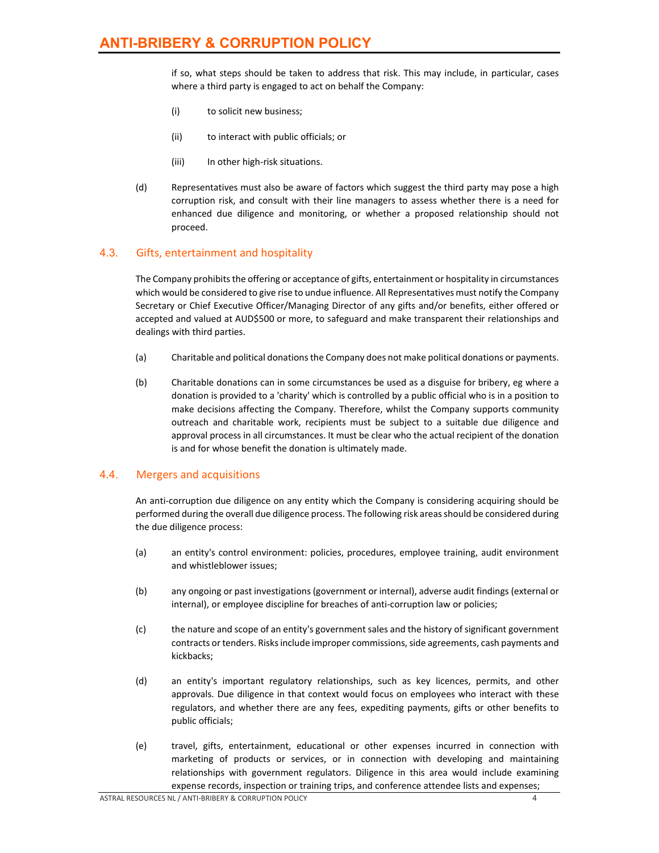if so, what steps should be taken to address that risk. This may include, in particular, cases where a third party is engaged to act on behalf the Company:

- (i) to solicit new business;
- (ii) to interact with public officials; or
- (iii) In other high-risk situations.
- (d) Representatives must also be aware of factors which suggest the third party may pose a high corruption risk, and consult with their line managers to assess whether there is a need for enhanced due diligence and monitoring, or whether a proposed relationship should not proceed.

#### 4.3. Gifts, entertainment and hospitality

The Company prohibitsthe offering or acceptance of gifts, entertainment or hospitality in circumstances which would be considered to give rise to undue influence. All Representatives must notify the Company Secretary or Chief Executive Officer/Managing Director of any gifts and/or benefits, either offered or accepted and valued at AUD\$500 or more, to safeguard and make transparent their relationships and dealings with third parties.

- (a) Charitable and political donationsthe Company does not make political donations or payments.
- (b) Charitable donations can in some circumstances be used as a disguise for bribery, eg where a donation is provided to a 'charity' which is controlled by a public official who is in a position to make decisions affecting the Company. Therefore, whilst the Company supports community outreach and charitable work, recipients must be subject to a suitable due diligence and approval process in all circumstances. It must be clear who the actual recipient of the donation is and for whose benefit the donation is ultimately made.

#### 4.4. Mergers and acquisitions

An anti-corruption due diligence on any entity which the Company is considering acquiring should be performed during the overall due diligence process. The following risk areas should be considered during the due diligence process:

- (a) an entity's control environment: policies, procedures, employee training, audit environment and whistleblower issues;
- (b) any ongoing or past investigations (government or internal), adverse audit findings (external or internal), or employee discipline for breaches of anti-corruption law or policies;
- (c) the nature and scope of an entity's government sales and the history of significant government contracts or tenders. Risks include improper commissions, side agreements, cash payments and kickbacks;
- (d) an entity's important regulatory relationships, such as key licences, permits, and other approvals. Due diligence in that context would focus on employees who interact with these regulators, and whether there are any fees, expediting payments, gifts or other benefits to public officials;
- (e) travel, gifts, entertainment, educational or other expenses incurred in connection with marketing of products or services, or in connection with developing and maintaining relationships with government regulators. Diligence in this area would include examining expense records, inspection or training trips, and conference attendee lists and expenses;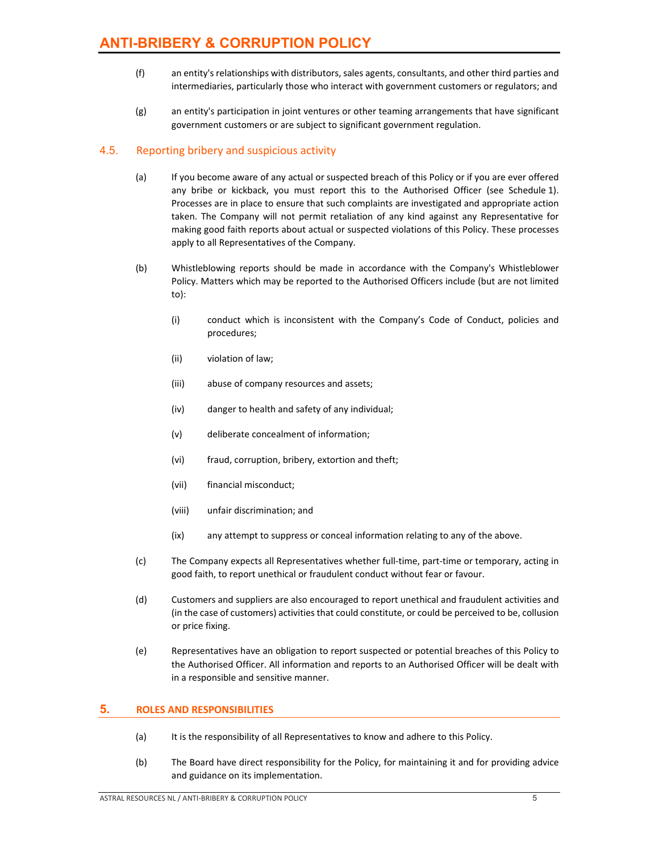- (f) an entity'srelationships with distributors, sales agents, consultants, and other third parties and intermediaries, particularly those who interact with government customers or regulators; and
- (g) an entity's participation in joint ventures or other teaming arrangements that have significant government customers or are subject to significant government regulation.

#### 4.5. Reporting bribery and suspicious activity

- (a) If you become aware of any actual or suspected breach of this Policy or if you are ever offered any bribe or kickback, you must report this to the Authorised Officer (see Schedule 1). Processes are in place to ensure that such complaints are investigated and appropriate action taken. The Company will not permit retaliation of any kind against any Representative for making good faith reports about actual or suspected violations of this Policy. These processes apply to all Representatives of the Company.
- (b) Whistleblowing reports should be made in accordance with the Company's Whistleblower Policy. Matters which may be reported to the Authorised Officers include (but are not limited to):
	- (i) conduct which is inconsistent with the Company's Code of Conduct, policies and procedures;
	- (ii) violation of law;
	- (iii) abuse of company resources and assets;
	- (iv) danger to health and safety of any individual;
	- (v) deliberate concealment of information;
	- (vi) fraud, corruption, bribery, extortion and theft;
	- (vii) financial misconduct;
	- (viii) unfair discrimination; and
	- (ix) any attempt to suppress or conceal information relating to any of the above.
- (c) The Company expects all Representatives whether full‐time, part‐time or temporary, acting in good faith, to report unethical or fraudulent conduct without fear or favour.
- (d) Customers and suppliers are also encouraged to report unethical and fraudulent activities and (in the case of customers) activities that could constitute, or could be perceived to be, collusion or price fixing.
- (e) Representatives have an obligation to report suspected or potential breaches of this Policy to the Authorised Officer. All information and reports to an Authorised Officer will be dealt with in a responsible and sensitive manner.

#### **5. ROLES AND RESPONSIBILITIES**

- (a) It is the responsibility of all Representatives to know and adhere to this Policy.
- (b) The Board have direct responsibility for the Policy, for maintaining it and for providing advice and guidance on its implementation.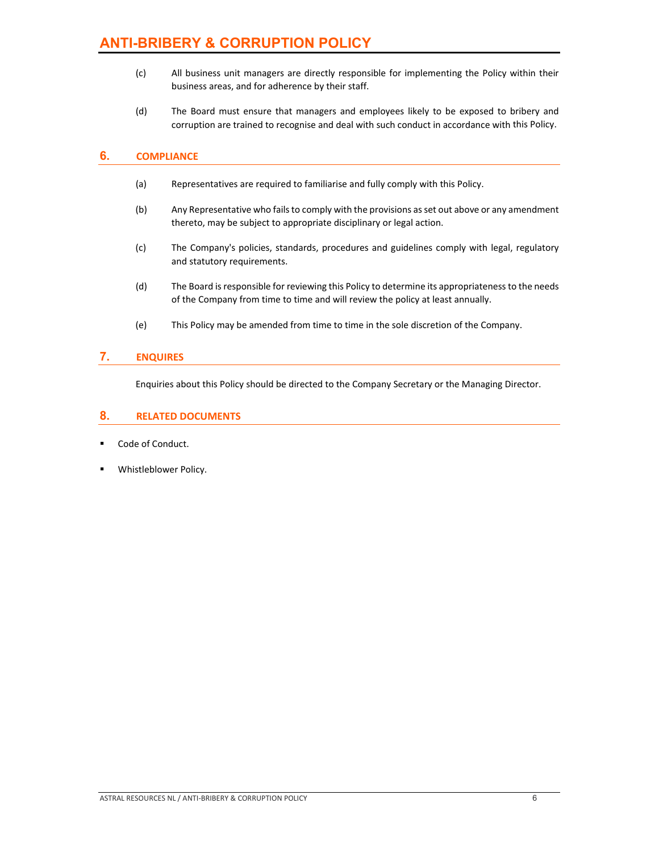- (c) All business unit managers are directly responsible for implementing the Policy within their business areas, and for adherence by their staff.
- (d) The Board must ensure that managers and employees likely to be exposed to bribery and corruption are trained to recognise and deal with such conduct in accordance with this Policy.

#### **6. COMPLIANCE**

- (a) Representatives are required to familiarise and fully comply with this Policy.
- (b) Any Representative who failsto comply with the provisions asset out above or any amendment thereto, may be subject to appropriate disciplinary or legal action.
- (c) The Company's policies, standards, procedures and guidelines comply with legal, regulatory and statutory requirements.
- (d) The Board is responsible for reviewing this Policy to determine its appropriateness to the needs of the Company from time to time and will review the policy at least annually.
- (e) This Policy may be amended from time to time in the sole discretion of the Company.

#### **7. ENQUIRES**

Enquiries about this Policy should be directed to the Company Secretary or the Managing Director.

#### **8. RELATED DOCUMENTS**

- Code of Conduct.
- Whistleblower Policy.